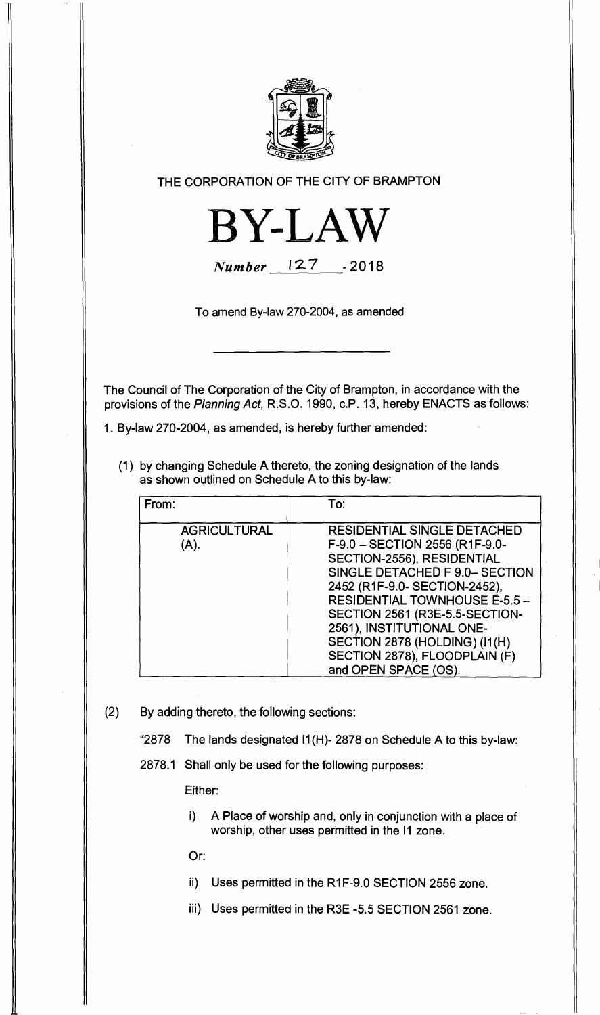

## **THE CORPORATION OF THE CITY OF BRAMPTON**



**Number 127 - 2018** 

**To amend By-law 270-2004, as amended** 

**The Council of The Corporation of the City of Brampton, in accordance with the provisions of the Planning Act, R.S.O. 1990, c.P. 13, hereby ENACTS as follows:** 

**1. By-law 270-2004, as amended, is hereby further amended:** 

**(1) by changing Schedule A thereto, the zoning designation of the lands as shown outlined on Schedule A to this by-law:** 

| From:                       | To:                                                                                                                                                                                                                                                                                                                                                                    |
|-----------------------------|------------------------------------------------------------------------------------------------------------------------------------------------------------------------------------------------------------------------------------------------------------------------------------------------------------------------------------------------------------------------|
| <b>AGRICULTURAL</b><br>(A). | <b>RESIDENTIAL SINGLE DETACHED</b><br>F-9.0 - SECTION 2556 (R1F-9.0-<br>SECTION-2556), RESIDENTIAL<br>SINGLE DETACHED F 9.0-SECTION<br>2452 (R1F-9.0- SECTION-2452),<br><b>RESIDENTIAL TOWNHOUSE E-5.5 --</b><br>SECTION 2561 (R3E-5.5-SECTION-<br>2561), INSTITUTIONAL ONE-<br>SECTION 2878 (HOLDING) (I1(H)<br>SECTION 2878), FLOODPLAIN (F)<br>and OPEN SPACE (OS). |

- **(2) By adding thereto, the following sections:** 
	- **"2878 The lands designated I1(H)- 2878 on Schedule A to this by-law:**

**2878.1 Shall only be used for the following purposes:** 

**Either:** 

**i) A Place of worship and, only in conjunction with a place of worship, other uses permitted in the 11 zone.** 

**Or:** 

- **ii) Uses permitted in the R1F-9.0 SECTION 2556 zone.**
- **iii) Uses permitted in the R3E -5.5 SECTION 2561 zone.**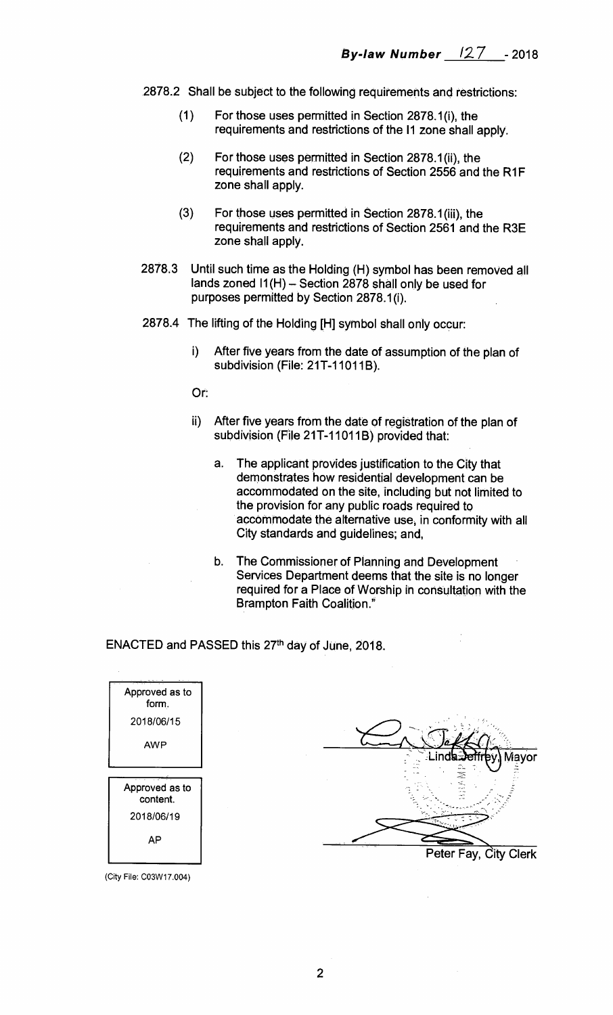- **2878.2 Shall be subject to the following requirements and restrictions:** 
	- **(1) For those uses permitted in Section 2878.1(i), the requirements and restrictions of the II zone shall apply.**
	- **(2) For those uses permitted in Section 2878.1(ii), the requirements and restrictions of Section 2556 and the R1F zone shall apply.**
	- **(3) For those uses permitted in Section 2878.1(iii), the requirements and restrictions of Section 2561 and the R3E zone shall apply.**
- **2878.3 Until such time as the Holding (H) symbol has been removed all lands zoned 11(H) — Section 2878 shall only be used for purposes permitted by Section 2878.1(i).**
- **2878.4 The lifting of the Holding [H] symbol shall only occur:** 
	- **i) After five years from the date of assumption of the plan of subdivision (File: 21T-11011B).**

**Or:** 

- **ii) After five years from the date of registration of the plan of subdivision (File 21T-11011B) provided that:** 
	- **a. The applicant provides justification to the City that demonstrates how residential development can be accommodated on the site, including but not limited to the provision for any public roads required to accommodate the alternative use, in conformity with all City standards and guidelines; and,**
	- **b. The Commissioner of Planning and Development Services Department deems that the site is no longer required for a Place of Worship in consultation with the Brampton Faith Coalition."**

**Peter Fay, City Clerk** 

Viavor

ENACTED and PASSED this 27<sup>th</sup> day of June, 2018.

| Approved as to<br>form.    |  |
|----------------------------|--|
| 2018/06/15                 |  |
| <b>AWP</b>                 |  |
|                            |  |
| Approved as to<br>content. |  |
| 2018/06/19                 |  |
| <b>AP</b>                  |  |
|                            |  |

(City File: CO3W17.004)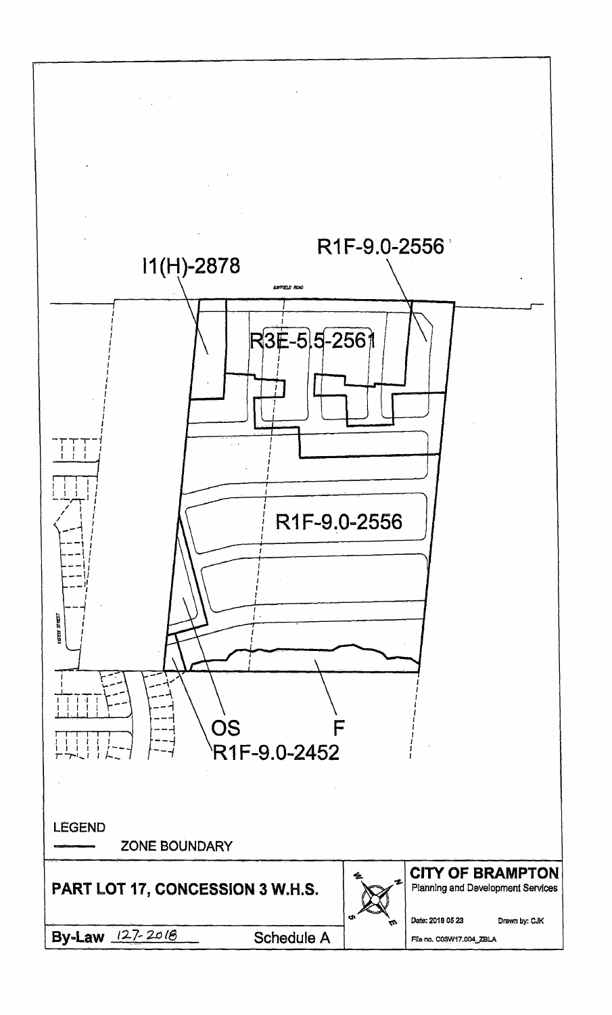